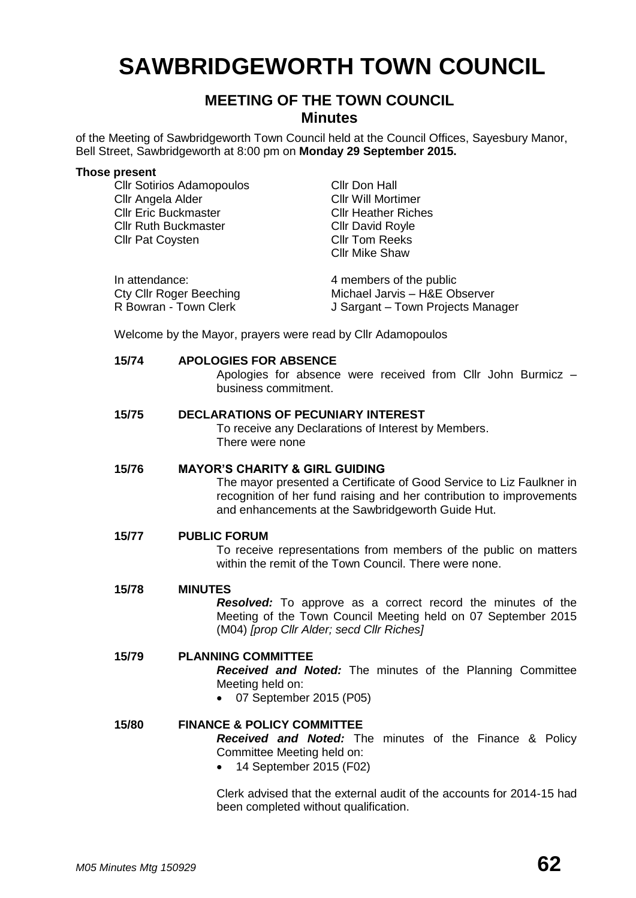# **SAWBRIDGEWORTH TOWN COUNCIL**

# **MEETING OF THE TOWN COUNCIL Minutes**

of the Meeting of Sawbridgeworth Town Council held at the Council Offices, Sayesbury Manor, Bell Street, Sawbridgeworth at 8:00 pm on **Monday 29 September 2015.**

#### **Those present**

Cllr Sotirios Adamopoulos Cllr Don Hall Cllr Angela Alder Cllr Will Mortimer Cllr Eric Buckmaster Cllr Heather Riches Cllr Ruth Buckmaster Cllr David Royle Cllr Pat Coysten Cllr Tom Reeks Cllr Mike Shaw In attendance: 4 members of the public Cty Cllr Roger Beeching Michael Jarvis – H&E Observer R Bowran - Town Clerk J Sargant – Town Projects Manager

Welcome by the Mayor, prayers were read by Cllr Adamopoulos

# **15/74 APOLOGIES FOR ABSENCE**

Apologies for absence were received from Cllr John Burmicz – business commitment.

# **15/75 DECLARATIONS OF PECUNIARY INTEREST**

To receive any Declarations of Interest by Members. There were none

# **15/76 MAYOR'S CHARITY & GIRL GUIDING**

The mayor presented a Certificate of Good Service to Liz Faulkner in recognition of her fund raising and her contribution to improvements and enhancements at the Sawbridgeworth Guide Hut.

#### **15/77 PUBLIC FORUM**

To receive representations from members of the public on matters within the remit of the Town Council. There were none.

#### **15/78 MINUTES**

*Resolved:* To approve as a correct record the minutes of the Meeting of the Town Council Meeting held on 07 September 2015 (M04) *[prop Cllr Alder; secd Cllr Riches]*

# **15/79 PLANNING COMMITTEE**

*Received and Noted:* The minutes of the Planning Committee Meeting held on:

07 September 2015 (P05)

# **15/80 FINANCE & POLICY COMMITTEE** *Received and Noted:* The minutes of the Finance & Policy Committee Meeting held on:

• 14 September 2015 (F02)

Clerk advised that the external audit of the accounts for 2014-15 had been completed without qualification.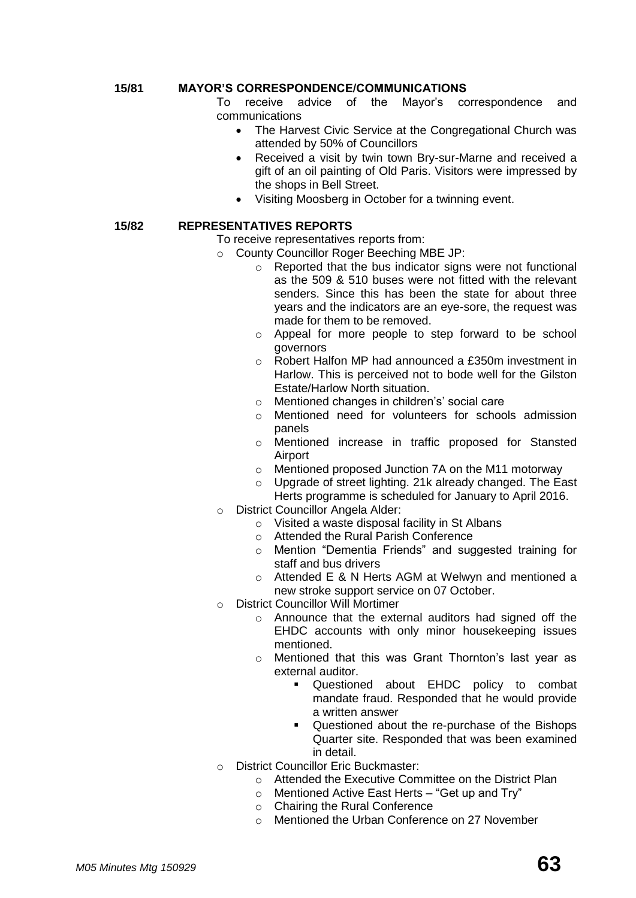# **15/81 MAYOR'S CORRESPONDENCE/COMMUNICATIONS**

To receive advice of the Mayor's correspondence and communications

- The Harvest Civic Service at the Congregational Church was attended by 50% of Councillors
- Received a visit by twin town Bry-sur-Marne and received a gift of an oil painting of Old Paris. Visitors were impressed by the shops in Bell Street.
- Visiting Moosberg in October for a twinning event.

# **15/82 REPRESENTATIVES REPORTS**

To receive representatives reports from:

- o County Councillor Roger Beeching MBE JP:
	- $\circ$  Reported that the bus indicator signs were not functional as the 509 & 510 buses were not fitted with the relevant senders. Since this has been the state for about three years and the indicators are an eye-sore, the request was made for them to be removed.
	- o Appeal for more people to step forward to be school governors
	- o Robert Halfon MP had announced a £350m investment in Harlow. This is perceived not to bode well for the Gilston Estate/Harlow North situation.
	- o Mentioned changes in children's' social care
	- o Mentioned need for volunteers for schools admission panels
	- o Mentioned increase in traffic proposed for Stansted Airport
	- o Mentioned proposed Junction 7A on the M11 motorway
	- o Upgrade of street lighting. 21k already changed. The East Herts programme is scheduled for January to April 2016.
- o District Councillor Angela Alder:
	- o Visited a waste disposal facility in St Albans
	- o Attended the Rural Parish Conference
	- o Mention "Dementia Friends" and suggested training for staff and bus drivers
	- o Attended E & N Herts AGM at Welwyn and mentioned a new stroke support service on 07 October.
- o District Councillor Will Mortimer
	- o Announce that the external auditors had signed off the EHDC accounts with only minor housekeeping issues mentioned.
	- o Mentioned that this was Grant Thornton's last year as external auditor.
		- Questioned about EHDC policy to combat mandate fraud. Responded that he would provide a written answer
		- Questioned about the re-purchase of the Bishops Quarter site. Responded that was been examined in detail.
- o District Councillor Eric Buckmaster:
	- o Attended the Executive Committee on the District Plan
	- o Mentioned Active East Herts "Get up and Try"
	- o Chairing the Rural Conference
	- o Mentioned the Urban Conference on 27 November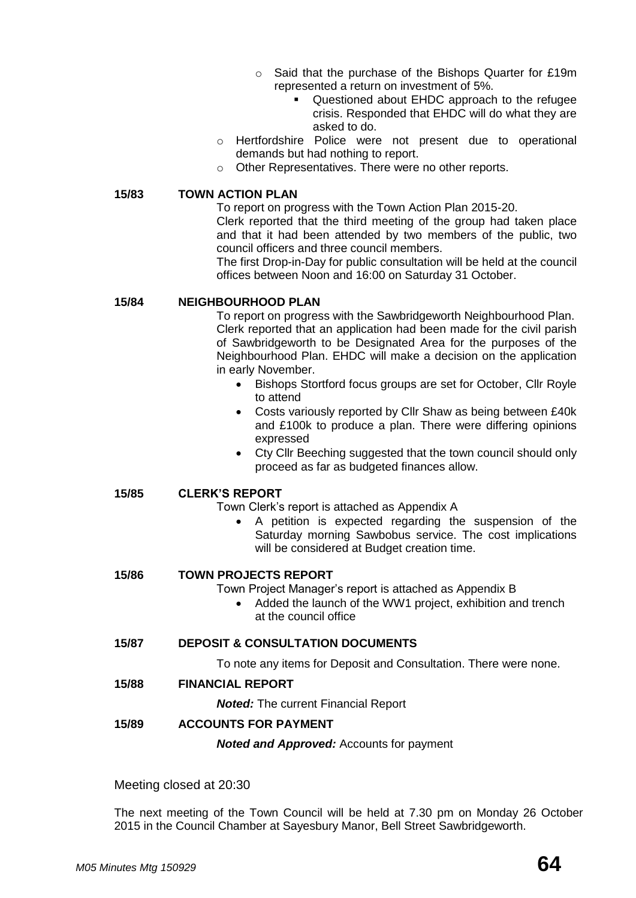- o Said that the purchase of the Bishops Quarter for £19m represented a return on investment of 5%.
	- Questioned about EHDC approach to the refugee crisis. Responded that EHDC will do what they are asked to do.
- o Hertfordshire Police were not present due to operational demands but had nothing to report.
- o Other Representatives. There were no other reports.

#### **15/83 TOWN ACTION PLAN**

To report on progress with the Town Action Plan 2015-20.

Clerk reported that the third meeting of the group had taken place and that it had been attended by two members of the public, two council officers and three council members.

The first Drop-in-Day for public consultation will be held at the council offices between Noon and 16:00 on Saturday 31 October.

# **15/84 NEIGHBOURHOOD PLAN**

To report on progress with the Sawbridgeworth Neighbourhood Plan. Clerk reported that an application had been made for the civil parish of Sawbridgeworth to be Designated Area for the purposes of the Neighbourhood Plan. EHDC will make a decision on the application in early November.

- Bishops Stortford focus groups are set for October, Cllr Royle to attend
- Costs variously reported by Cllr Shaw as being between £40k and £100k to produce a plan. There were differing opinions expressed
- Cty Cllr Beeching suggested that the town council should only proceed as far as budgeted finances allow.

# **15/85 CLERK'S REPORT**

Town Clerk's report is attached as Appendix A

 A petition is expected regarding the suspension of the Saturday morning Sawbobus service. The cost implications will be considered at Budget creation time.

# **15/86 TOWN PROJECTS REPORT**

Town Project Manager's report is attached as Appendix B

 Added the launch of the WW1 project, exhibition and trench at the council office

# **15/87 DEPOSIT & CONSULTATION DOCUMENTS**

To note any items for Deposit and Consultation. There were none.

**15/88 FINANCIAL REPORT**

*Noted:* The current Financial Report

# **15/89 ACCOUNTS FOR PAYMENT**

*Noted and Approved:* Accounts for payment

Meeting closed at 20:30

The next meeting of the Town Council will be held at 7.30 pm on Monday 26 October 2015 in the Council Chamber at Sayesbury Manor, Bell Street Sawbridgeworth.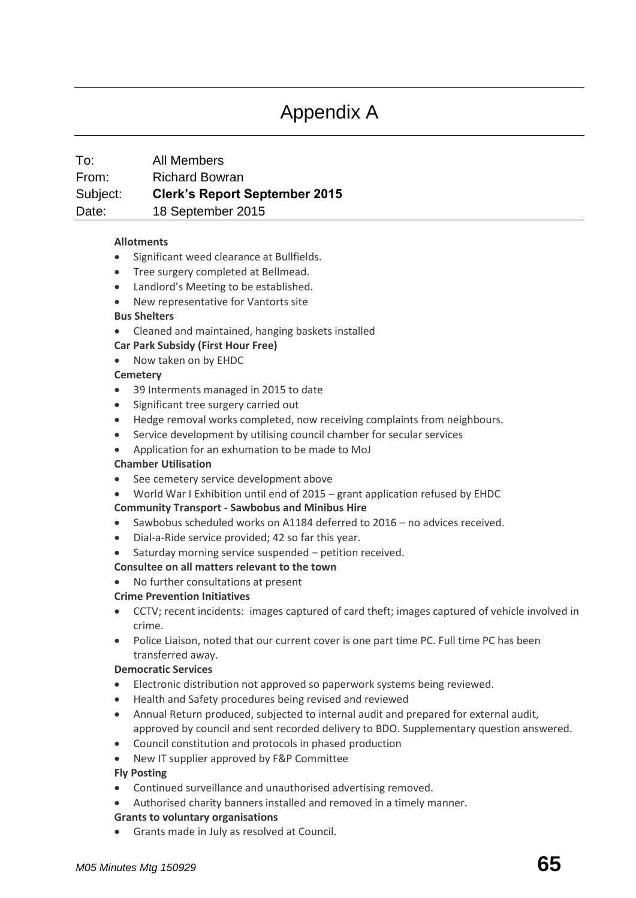# Appendix A

# To: All Members From: Richard Bowran Subject: **Clerk's Report September 2015** Date: 18 September 2015

# **[Allotments](http://www.sawbridgeworth-tc.gov.uk/town-information/town-council-services/allotments)**

- Significant weed clearance at Bullfields.
- Tree surgery completed at Bellmead.
- Landlord's Meeting to be established.
- New representative for Vantorts site
- **Bus Shelters**
- Cleaned and maintained, hanging baskets installed

# **Car Park Subsidy (First Hour Free)**

Now taken on by EHDC

# **[Cemetery](http://www.sawbridgeworth-tc.gov.uk/town-information/town-council-services/cemetery)**

- 39 Interments managed in 2015 to date
- Significant tree surgery carried out
- Hedge removal works completed, now receiving complaints from neighbours.
- Service development by utilising council chamber for secular services
- Application for an exhumation to be made to MoJ

# **Chamber Utilisation**

- See cemetery service development above
- World War I Exhibition until end of 2015 grant application refused by EHDC

# **Community Transport - [Sawbobus](http://www.sawbridgeworth-tc.gov.uk/town-information/town-council-services/sawbobus) an[d Minibus Hire](http://www.sawbridgeworth-tc.gov.uk/town-information/town-council-services/minibus-hire)**

- Sawbobus scheduled works on A1184 deferred to 2016 no advices received.
- Dial-a-Ride service provided; 42 so far this year.
- Saturday morning service suspended petition received.

# **Consultee on all matters relevant to the town**

No further consultations at present

# **Crime Prevention Initiatives**

- CCTV; recent incidents: images captured of card theft; images captured of vehicle involved in crime.
- Police Liaison, noted that our current cover is one part time PC. Full time PC has been transferred away.

# **Democratic Services**

- Electronic distribution not approved so paperwork systems being reviewed.
- Health and Safety procedures being revised and reviewed
- Annual Return produced, subjected to internal audit and prepared for external audit, approved by council and sent recorded delivery to BDO. Supplementary question answered.
- Council constitution and protocols in phased production
- New IT supplier approved by F&P Committee

# **Fly Posting**

- Continued surveillance and unauthorised advertising removed.
- Authorised charity banners installed and removed in a timely manner.

# **[Grants to voluntary organisations](http://www.sawbridgeworth-tc.gov.uk/town-council/grants)**

Grants made in July as resolved at Council.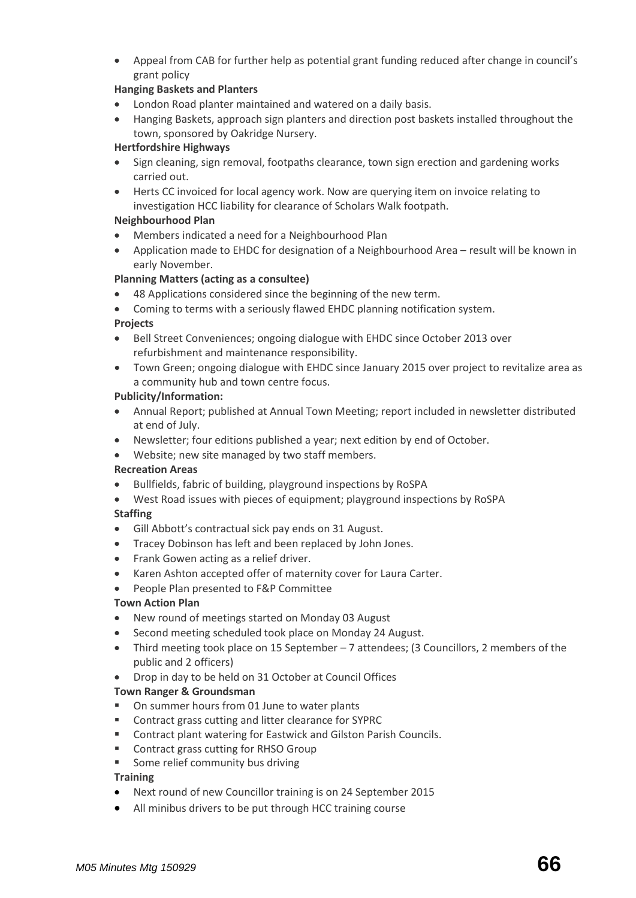Appeal from CAB for further help as potential grant funding reduced after change in council's grant policy

# **Hanging Baskets and Planters**

- London Road planter maintained and watered on a daily basis.
- Hanging Baskets, approach sign planters and direction post baskets installed throughout the town, sponsored by Oakridge Nursery.

# **Hertfordshire Highways**

- Sign cleaning, sign removal, footpaths clearance, town sign erection and gardening works carried out.
- Herts CC invoiced for local agency work. Now are querying item on invoice relating to investigation HCC liability for clearance of Scholars Walk footpath.

# **Neighbourhood Plan**

- Members indicated a need for a Neighbourhood Plan
- Application made to EHDC for designation of a Neighbourhood Area result will be known in early November.

# **[Planning Matters \(acting as a consultee\)](http://www.sawbridgeworth-tc.gov.uk/town-council/planning)**

- 48 Applications considered since the beginning of the new term.
- Coming to terms with a seriously flawed EHDC planning notification system.

# **Projects**

- Bell Street Conveniences; ongoing dialogue with EHDC since October 2013 over refurbishment and maintenance responsibility.
- Town Green; ongoing dialogue with EHDC since January 2015 over project to revitalize area as a community hub and town centre focus.

# **Publicity/Information:**

- Annual Report; published at Annual Town Meeting; report included in newsletter distributed at end of July.
- Newsletter; four editions published a year; next edition by end of October.
- Website; new site managed by two staff members.

# **Recreation Areas**

- Bullfields, fabric of building, playground inspections by RoSPA
- West Road issues with pieces of equipment; playground inspections by RoSPA

# **Staffing**

- Gill Abbott's contractual sick pay ends on 31 August.
- Tracey Dobinson has left and been replaced by John Jones.
- Frank Gowen acting as a relief driver.
- Karen Ashton accepted offer of maternity cover for Laura Carter.
- People Plan presented to F&P Committee

# **Town Action Plan**

- New round of meetings started on Monday 03 August
- Second meeting scheduled took place on Monday 24 August.
- Third meeting took place on 15 September 7 attendees; (3 Councillors, 2 members of the public and 2 officers)
- Drop in day to be held on 31 October at Council Offices

# **Town Ranger & Groundsman**

- On summer hours from 01 June to water plants
- Contract grass cutting and litter clearance for SYPRC
- **EXECONTACT CONTROL EXECT** Contract plant watering for Eastwick and Gilston Parish Councils.
- **EXECONTRACT CONTRACT CONTRACT CONTRACT CONTRACT CONTRACT CONTRACT CONTRACT CONTRACT CONTRACT CONTR**
- **Some relief community bus driving**

# **Training**

- Next round of new Councillor training is on 24 September 2015
- All minibus drivers to be put through HCC training course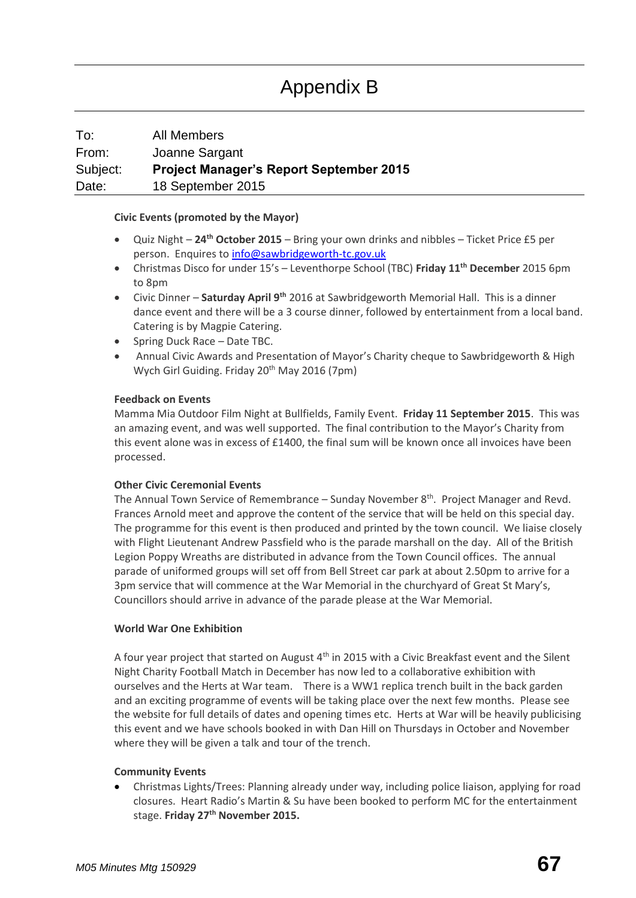# Appendix B

# To: All Members From: Joanne Sargant Subject: **Project Manager's Report September 2015** Date: 18 September 2015

# **[Civic Events \(promoted by the Mayor\)](http://www.sawbridgeworth-tc.gov.uk/town-council/the-mayor)**

- Quiz Night **24th October 2015** Bring your own drinks and nibbles Ticket Price £5 per person. Enquires to [info@sawbridgeworth-tc.gov.uk](mailto:info@sawbridgeworth-tc.gov.uk)
- Christmas Disco for under 15's Leventhorpe School (TBC) **Friday 11th December** 2015 6pm to 8pm
- Civic Dinner **Saturday April 9th** 2016 at Sawbridgeworth Memorial Hall. This is a dinner dance event and there will be a 3 course dinner, followed by entertainment from a local band. Catering is by Magpie Catering.
- Spring Duck Race Date TBC.
- Annual Civic Awards and Presentation of Mayor's Charity cheque to Sawbridgeworth & High Wych Girl Guiding. Friday 20<sup>th</sup> May 2016 (7pm)

# **Feedback on Events**

Mamma Mia Outdoor Film Night at Bullfields, Family Event. **Friday 11 September 2015**. This was an amazing event, and was well supported. The final contribution to the Mayor's Charity from this event alone was in excess of £1400, the final sum will be known once all invoices have been processed.

# **Other Civic Ceremonial Events**

The Annual Town Service of Remembrance – Sunday November  $8<sup>th</sup>$ . Project Manager and Revd. Frances Arnold meet and approve the content of the service that will be held on this special day. The programme for this event is then produced and printed by the town council. We liaise closely with Flight Lieutenant Andrew Passfield who is the parade marshall on the day. All of the British Legion Poppy Wreaths are distributed in advance from the Town Council offices. The annual parade of uniformed groups will set off from Bell Street car park at about 2.50pm to arrive for a 3pm service that will commence at the War Memorial in the churchyard of Great St Mary's, Councillors should arrive in advance of the parade please at the War Memorial.

# **World War One Exhibition**

A four year project that started on August  $4<sup>th</sup>$  in 2015 with a Civic Breakfast event and the Silent Night Charity Football Match in December has now led to a collaborative exhibition with ourselves and the Herts at War team. There is a WW1 replica trench built in the back garden and an exciting programme of events will be taking place over the next few months. Please see the website for full details of dates and opening times etc. Herts at War will be heavily publicising this event and we have schools booked in with Dan Hill on Thursdays in October and November where they will be given a talk and tour of the trench.

# **Community Events**

 Christmas Lights/Trees: Planning already under way, including police liaison, applying for road closures. Heart Radio's Martin & Su have been booked to perform MC for the entertainment stage. **Friday 27th November 2015.**